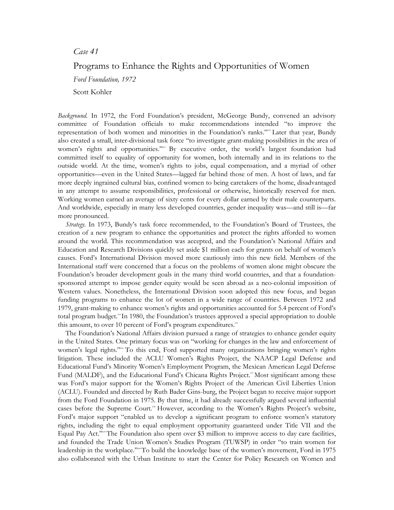## *Case 41*

## Programs to Enhance the Rights and Opportunities of Women

*Ford Foundation, 1972* 

Scott Kohler

*Background.* In 1972, the Ford Foundation's president, McGeorge Bundy, convened an advisory committee of Foundation officials to make recommendations intended "to improve the representation of both women and minorities in the Foundation's ranks."<sup>63</sup> Later that year, Bundy also created a small, inter-divisional task force "to investigate grant-making possibilities in the area of women's rights and opportunities."<sup>633</sup> By executive order, the world's largest foundation had committed itself to equality of opportunity for women, both internally and in its relations to the outside world. At the time, women's rights to jobs, equal compensation, and a myriad of other opportunities—even in the United States—lagged far behind those of men. A host of laws, and far more deeply ingrained cultural bias, confined women to being caretakers of the home, disadvantaged in any attempt to assume responsibilities, professional or otherwise, historically reserved for men. Working women earned an average of sixty cents for every dollar earned by their male counterparts. And worldwide, especially in many less developed countries, gender inequality was—and still is—far more pronounced.

*Strategy.* In 1973, Bundy's task force recommended, to the Foundation's Board of Trustees, the creation of a new program to enhance the opportunities and protect the rights afforded to women around the world. This recommendation was accepted, and the Foundation's National Affairs and Education and Research Divisions quickly set aside \$1 million each for grants on behalf of women's causes. Ford's International Division moved more cautiously into this new field. Members of the International staff were concerned that a focus on the problems of women alone might obscure the Foundation's broader development goals in the many third world countries, and that a foundationsponsored attempt to impose gender equity would be seen abroad as a neo-colonial imposition of Western values. Nonetheless, the International Division soon adopted this new focus, and began funding programs to enhance the lot of women in a wide range of countries. Between 1972 and 1979, grant-making to enhance women's rights and opportunities accounted for 5.4 percent of Ford's total program budget.<sup>64</sup> In 1980, the Foundation's trustees approved a special appropriation to double this amount, to over 10 percent of Ford's program expenditures.<sup>635</sup>

The Foundation's National Affairs division pursued a range of strategies to enhance gender equity in the United States. One primary focus was on "working for changes in the law and enforcement of women's legal rights."<sup>63</sup> To this end, Ford supported many organizations bringing women's rights litigation. These included the ACLU Women's Rights Project, the NAACP Legal Defense and Educational Fund's Minority Women's Employment Program, the Mexican American Legal Defense Fund (MALDF), and the Educational Fund's Chicana Rights Project.<sup>67</sup> Most significant among these was Ford's major support for the Women's Rights Project of the American Civil Liberties Union (ACLU). Founded and directed by Ruth Bader Gins-burg, the Project began to receive major support from the Ford Foundation in 1975. By that time, it had already successfully argued several influential cases before the Supreme Court.<sup>68</sup> However, according to the Women's Rights Project's website, Ford's major support "enabled us to develop a significant program to enforce women's statutory rights, including the right to equal employment opportunity guaranteed under Title VII and the Equal Pay Act."<sup>639</sup> The Foundation also spent over \$3 million to improve access to day care facilities, and founded the Trade Union Women's Studies Program (TUWSP) in order "to train women for leadership in the workplace."<sup>\*\*</sup>To build the knowledge base of the women's movement, Ford in 1975 also collaborated with the Urban Institute to start the Center for Policy Research on Women and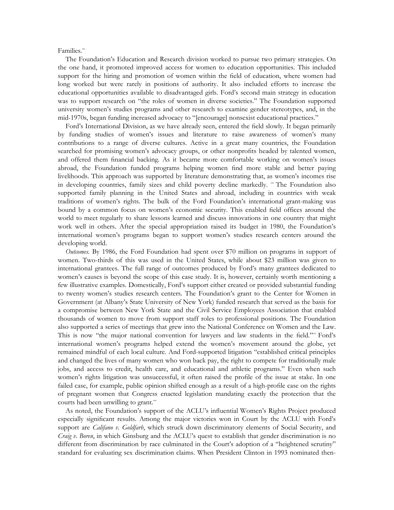Families.<sup>641</sup>

The Foundation's Education and Research division worked to pursue two primary strategies. On the one hand, it promoted improved access for women to education opportunities. This included support for the hiring and promotion of women within the field of education, where women had long worked but were rarely in positions of authority. It also included efforts to increase the educational opportunities available to disadvantaged girls. Ford's second main strategy in education was to support research on "the roles of women in diverse societies." The Foundation supported university women's studies programs and other research to examine gender stereotypes, and, in the mid-1970s, began funding increased advocacy to "[encourage] nonsexist educational practices."

Ford's International Division, as we have already seen, entered the field slowly. It began primarily by funding studies of women's issues and literature to raise awareness of women's many contributions to a range of diverse cultures. Active in a great many countries, the Foundation searched for promising women's advocacy groups, or other nonprofits headed by talented women, and offered them financial backing. As it became more comfortable working on women's issues abroad, the Foundation funded programs helping women find more stable and better paying livelihoods. This approach was supported by literature demonstrating that, as women's incomes rise in developing countries, family sizes and child poverty decline markedly. <sup>44</sup> The Foundation also supported family planning in the United States and abroad, including in countries with weak traditions of women's rights. The bulk of the Ford Foundation's international grant-making was bound by a common focus on women's economic security. This enabled field offices around the world to meet regularly to share lessons learned and discuss innovations in one country that might work well in others. After the special appropriation raised its budget in 1980, the Foundation's international women's programs began to support women's studies research centers around the developing world.

*Outcomes.* By 1986, the Ford Foundation had spent over \$70 million on programs in support of women. Two-thirds of this was used in the United States, while about \$23 million was given to international grantees. The full range of outcomes produced by Ford's many grantees dedicated to women's causes is beyond the scope of this case study. It is, however, certainly worth mentioning a few illustrative examples. Domestically, Ford's support either created or provided substantial funding to twenty women's studies research centers. The Foundation's grant to the Center for Women in Government (at Albany's State University of New York) funded research that served as the basis for a compromise between New York State and the Civil Service Employees Association that enabled thousands of women to move from support staff roles to professional positions. The Foundation also supported a series of meetings that grew into the National Conference on Women and the Law. This is now "the major national convention for lawyers and law students in the field."<sup>643</sup> Ford's international women's programs helped extend the women's movement around the globe, yet remained mindful of each local culture. And Ford-supported litigation "established critical principles and changed the lives of many women who won back pay, the right to compete for traditionally male jobs, and access to credit, health care, and educational and athletic programs." Even when such women's rights litigation was unsuccessful, it often raised the profile of the issue at stake. In one failed case, for example, public opinion shifted enough as a result of a high-profile case on the rights of pregnant women that Congress enacted legislation mandating exactly the protection that the courts had been unwilling to grant.<sup>444</sup>

As noted, the Foundation's support of the ACLU's influential Women's Rights Project produced especially significant results. Among the major victories won in Court by the ACLU with Ford's support are *Califano v. Goldfarb*, which struck down discriminatory elements of Social Security, and *Craig v. Boren*, in which Ginsburg and the ACLU's quest to establish that gender discrimination is no different from discrimination by race culminated in the Court's adoption of a "heightened scrutiny" standard for evaluating sex discrimination claims. When President Clinton in 1993 nominated then